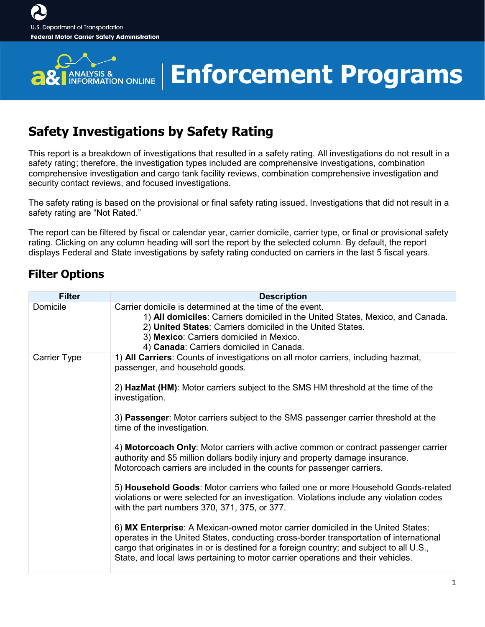

### **Enforcement Programs**

### **Safety Investigations by Safety Rating**

This report is a breakdown of investigations that resulted in a safety rating. All investigations do not result in a safety rating; therefore, the investigation types included are comprehensive investigations, combination comprehensive investigation and cargo tank facility reviews, combination comprehensive investigation and security contact reviews, and focused investigations.

The safety rating is based on the provisional or final safety rating issued. Investigations that did not result in a safety rating are "Not Rated."

The report can be filtered by fiscal or calendar year, carrier domicile, carrier type, or final or provisional safety rating. Clicking on any column heading will sort the report by the selected column. By default, the report displays Federal and State investigations by safety rating conducted on carriers in the last 5 fiscal years.

#### **Filter Options**

| <b>Filter</b> | <b>Description</b>                                                                                                                                                                                                                                                                                                                                       |
|---------------|----------------------------------------------------------------------------------------------------------------------------------------------------------------------------------------------------------------------------------------------------------------------------------------------------------------------------------------------------------|
| Domicile      | Carrier domicile is determined at the time of the event.<br>1) All domiciles: Carriers domiciled in the United States, Mexico, and Canada.<br>2) United States: Carriers domiciled in the United States.<br>3) Mexico: Carriers domiciled in Mexico.<br>4) Canada: Carriers domiciled in Canada.                                                         |
| Carrier Type  | 1) All Carriers: Counts of investigations on all motor carriers, including hazmat,<br>passenger, and household goods.                                                                                                                                                                                                                                    |
|               | 2) HazMat (HM): Motor carriers subject to the SMS HM threshold at the time of the<br>investigation.                                                                                                                                                                                                                                                      |
|               | 3) Passenger: Motor carriers subject to the SMS passenger carrier threshold at the<br>time of the investigation.                                                                                                                                                                                                                                         |
|               | 4) Motorcoach Only: Motor carriers with active common or contract passenger carrier<br>authority and \$5 million dollars bodily injury and property damage insurance.<br>Motorcoach carriers are included in the counts for passenger carriers.                                                                                                          |
|               | 5) Household Goods: Motor carriers who failed one or more Household Goods-related<br>violations or were selected for an investigation. Violations include any violation codes<br>with the part numbers 370, 371, 375, or 377.                                                                                                                            |
|               | 6) MX Enterprise: A Mexican-owned motor carrier domiciled in the United States;<br>operates in the United States, conducting cross-border transportation of international<br>cargo that originates in or is destined for a foreign country; and subject to all U.S.,<br>State, and local laws pertaining to motor carrier operations and their vehicles. |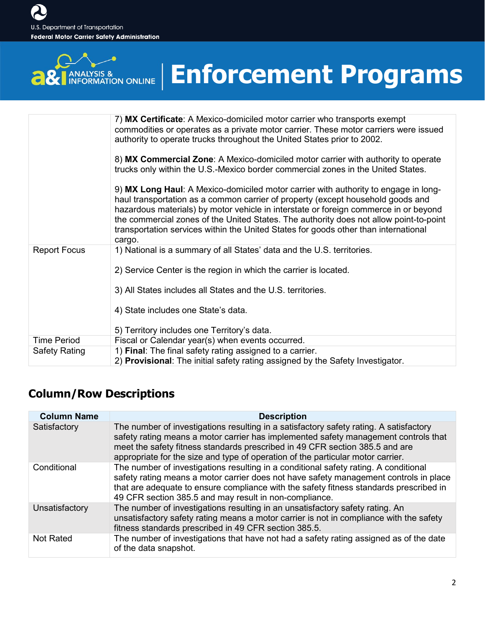**BU** ANALYSIS &

# **Enforcement Programs**

|                      | 7) MX Certificate: A Mexico-domiciled motor carrier who transports exempt<br>commodities or operates as a private motor carrier. These motor carriers were issued<br>authority to operate trucks throughout the United States prior to 2002.                                                                                                                                                                                                              |
|----------------------|-----------------------------------------------------------------------------------------------------------------------------------------------------------------------------------------------------------------------------------------------------------------------------------------------------------------------------------------------------------------------------------------------------------------------------------------------------------|
|                      | 8) MX Commercial Zone: A Mexico-domiciled motor carrier with authority to operate<br>trucks only within the U.S.-Mexico border commercial zones in the United States.                                                                                                                                                                                                                                                                                     |
|                      | 9) MX Long Haul: A Mexico-domiciled motor carrier with authority to engage in long-<br>haul transportation as a common carrier of property (except household goods and<br>hazardous materials) by motor vehicle in interstate or foreign commerce in or beyond<br>the commercial zones of the United States. The authority does not allow point-to-point<br>transportation services within the United States for goods other than international<br>cargo. |
| <b>Report Focus</b>  | 1) National is a summary of all States' data and the U.S. territories.                                                                                                                                                                                                                                                                                                                                                                                    |
|                      | 2) Service Center is the region in which the carrier is located.                                                                                                                                                                                                                                                                                                                                                                                          |
|                      | 3) All States includes all States and the U.S. territories.                                                                                                                                                                                                                                                                                                                                                                                               |
|                      | 4) State includes one State's data.                                                                                                                                                                                                                                                                                                                                                                                                                       |
|                      | 5) Territory includes one Territory's data.                                                                                                                                                                                                                                                                                                                                                                                                               |
| <b>Time Period</b>   | Fiscal or Calendar year(s) when events occurred.                                                                                                                                                                                                                                                                                                                                                                                                          |
| <b>Safety Rating</b> | 1) Final: The final safety rating assigned to a carrier.<br>2) Provisional: The initial safety rating assigned by the Safety Investigator.                                                                                                                                                                                                                                                                                                                |

#### **Column/Row Descriptions**

| <b>Column Name</b> | <b>Description</b>                                                                                                                                                                                                                                                                                                                               |
|--------------------|--------------------------------------------------------------------------------------------------------------------------------------------------------------------------------------------------------------------------------------------------------------------------------------------------------------------------------------------------|
| Satisfactory       | The number of investigations resulting in a satisfactory safety rating. A satisfactory<br>safety rating means a motor carrier has implemented safety management controls that<br>meet the safety fitness standards prescribed in 49 CFR section 385.5 and are<br>appropriate for the size and type of operation of the particular motor carrier. |
| Conditional        | The number of investigations resulting in a conditional safety rating. A conditional<br>safety rating means a motor carrier does not have safety management controls in place<br>that are adequate to ensure compliance with the safety fitness standards prescribed in<br>49 CFR section 385.5 and may result in non-compliance.                |
| Unsatisfactory     | The number of investigations resulting in an unsatisfactory safety rating. An<br>unsatisfactory safety rating means a motor carrier is not in compliance with the safety<br>fitness standards prescribed in 49 CFR section 385.5.                                                                                                                |
| <b>Not Rated</b>   | The number of investigations that have not had a safety rating assigned as of the date<br>of the data snapshot.                                                                                                                                                                                                                                  |